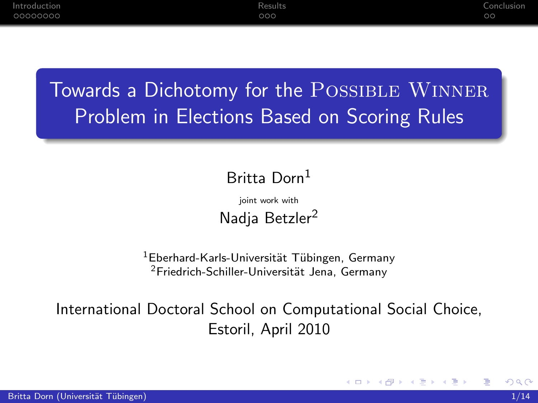# Towards a Dichotomy for the POSSIBLE WINNER Problem in Elections Based on Scoring Rules

### Britta Dorn<sup>1</sup>

joint work with Nadia Betzler<sup>2</sup>

<sup>1</sup>Eberhard-Karls-Universität Tübingen, Germany  $2$ Friedrich-Schiller-Universität Jena, Germany

International Doctoral School on Computational Social Choice, Estoril, April 2010

4 0 8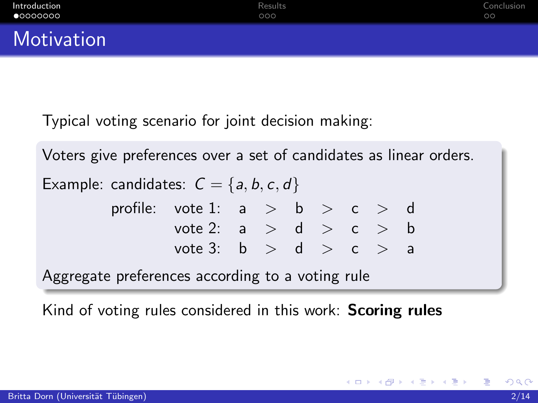Typical voting scenario for joint decision making:

Voters give preferences over a set of candidates as linear orders.

Example: candidates:  $C = \{a, b, c, d\}$ 

<span id="page-1-0"></span>

| profile: vote 1: $a > b > c > d$ |  |  |  |  |
|----------------------------------|--|--|--|--|
| vote 2: $a > d > c > b$          |  |  |  |  |
| vote 3: $b > d > c > a$          |  |  |  |  |

Aggregate preferences according to a voting rule

Kind of voting rules considered in this work: **Scoring rules**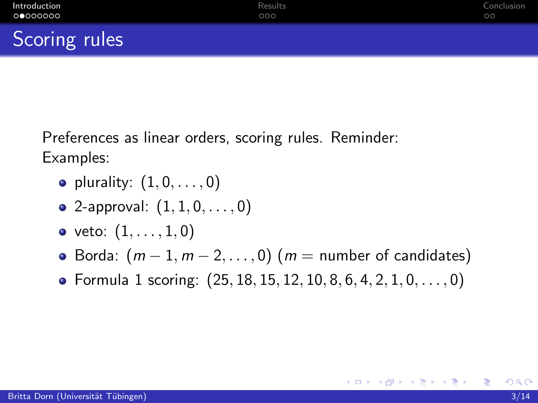Scoring rules

Preferences as linear orders, scoring rules. Reminder: Examples:

- plurality:  $(1, 0, \ldots, 0)$
- 2-approval:  $(1, 1, 0, \ldots, 0)$
- veto:  $(1, \ldots, 1, 0)$
- $\bullet$  Borda:  $(m-1, m-2, \ldots, 0)$   $(m =$  number of candidates)
- Formula 1 scoring:  $(25, 18, 15, 12, 10, 8, 6, 4, 2, 1, 0, \ldots, 0)$

<span id="page-2-0"></span>÷

メロメ メ母メ メミメ メミメー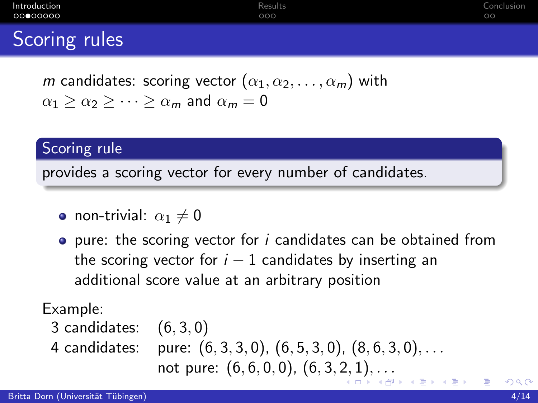| Introduction<br>00000000 | Results<br>000 | Conclusion<br>$\circ$ |
|--------------------------|----------------|-----------------------|
| Scoring rules            |                |                       |
|                          |                |                       |

*m* candidates: scoring vector  $(\alpha_1, \alpha_2, \ldots, \alpha_m)$  with  $\alpha_1 > \alpha_2 > \cdots > \alpha_m$  and  $\alpha_m = 0$ 

Scoring rule

provides a scoring vector for every number of candidates.

- non-trivial:  $\alpha_1 \neq 0$
- $\bullet$  pure: the scoring vector for *i* candidates can be obtained from the scoring vector for  $i - 1$  candidates by inserting an additional score value at an arbitrary position

Example:

- <span id="page-3-0"></span>3 candidates: (6, 3, 0)
-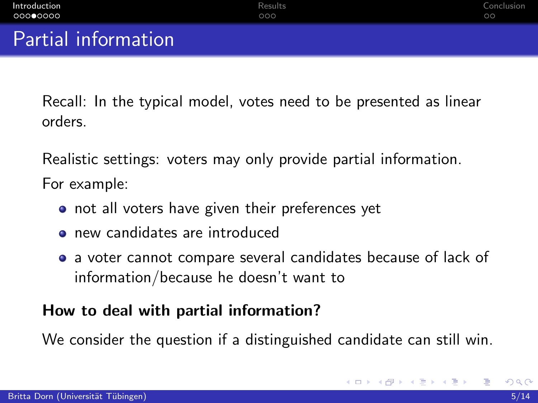Recall: In the typical model, votes need to be presented as linear orders.

Realistic settings: voters may only provide partial information. For example:

- o not all voters have given their preferences yet
- new candidates are introduced
- a voter cannot compare several candidates because of lack of information/because he doesn't want to

### How to deal with partial information?

We consider the question if a distinguished candidate can still win.

<span id="page-4-0"></span>イロト イ母 トイヨ トイヨト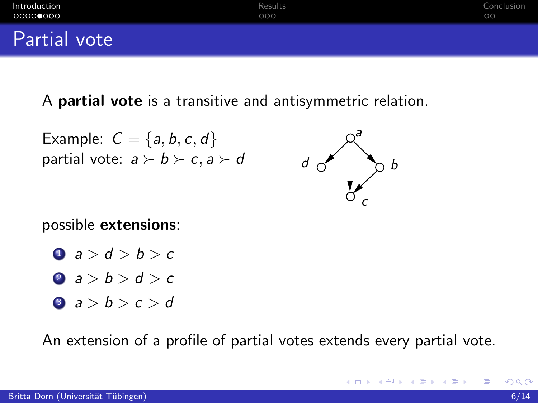| Introduction | Results | Conclusion |
|--------------|---------|------------|
| ○○○○●○○○     | 000     | $\circ$    |
| Partial vote |         |            |

A partial vote is a transitive and antisymmetric relation.

Example:  $C = \{a, b, c, d\}$ partial vote:  $a \succ b \succ c, a \succ d$ 



K ロ ▶ K 優 ▶ K 둘 ▶ K 둘 ▶ ...

possible extensions:

$$
a > d > b > c
$$

$$
a > b > d > c
$$

$$
a>b>c>d
$$

An extension of a profile of partial votes extends every partial vote.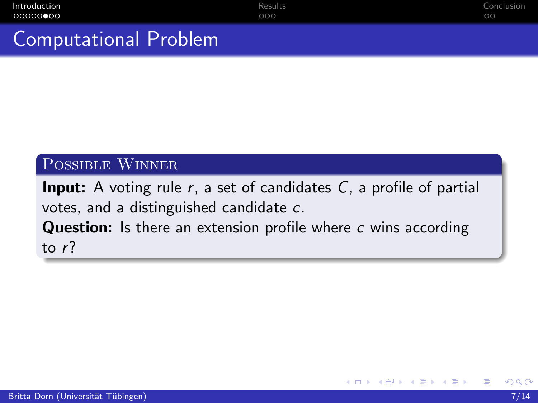## Computational Problem

#### Possible Winner

**Input:** A voting rule  $r$ , a set of candidates  $C$ , a profile of partial votes, and a distinguished candidate c. **Question:** Is there an extension profile where c wins according

4 0 8

to r?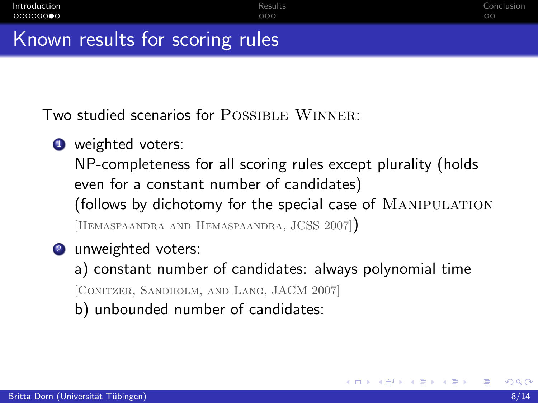### Known results for scoring rules

Two studied scenarios for POSSIBLE WINNER:

**4** weighted voters:

NP-completeness for all scoring rules except plurality (holds even for a constant number of candidates) (follows by dichotomy for the special case of MANIPULATION [Hemaspaandra and Hemaspaandra, JCSS 2007])

2 unweighted voters:

a) constant number of candidates: always polynomial time [Conitzer, Sandholm, and Lang, JACM 2007]

b) unbounded number of candidates:

K 로 베 K 로 로 베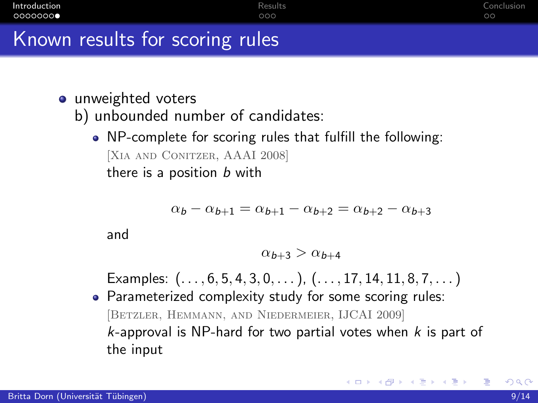| Introduction                    | Results | Conclusion |
|---------------------------------|---------|------------|
| 00000000                        | 000     | $\circ$    |
| Known results for scoring rules |         |            |

### • unweighted voters

- b) unbounded number of candidates:
	- NP-complete for scoring rules that fulfill the following: [Xia and Conitzer, AAAI 2008] there is a position  $b$  with

$$
\alpha_b - \alpha_{b+1} = \alpha_{b+1} - \alpha_{b+2} = \alpha_{b+2} - \alpha_{b+3}
$$

and

$$
\alpha_{b+3} > \alpha_{b+4}
$$

Examples:  $(..., 6, 5, 4, 3, 0, ...)$ ,  $(..., 17, 14, 11, 8, 7, ...)$ 

• Parameterized complexity study for some scoring rules: [Betzler, Hemmann, and Niedermeier, IJCAI 2009]  $k$ -approval is NP-hard for two partial votes when  $k$  is part of the input

イロト イ部 ト イヨ ト イヨ トー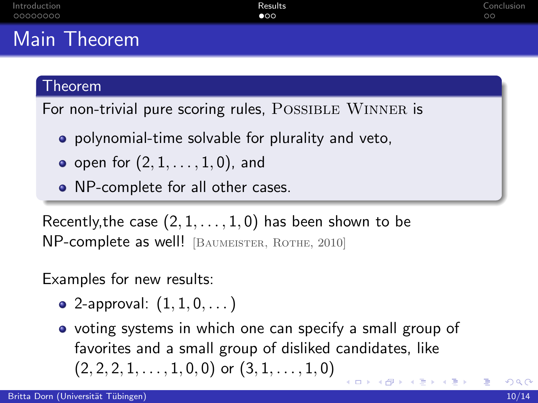## Main Theorem

#### Theorem

For non-trivial pure scoring rules, POSSIBLE WINNER is

- **•** polynomial-time solvable for plurality and veto,
- open for  $(2, 1, \ldots, 1, 0)$ , and
- NP-complete for all other cases.

Recently, the case  $(2, 1, \ldots, 1, 0)$  has been shown to be NP-complete as well! [BAUMEISTER, ROTHE, 2010]

Examples for new results:

- 2-approval:  $(1, 1, 0, ...)$
- <span id="page-9-0"></span>• voting systems in which one can specify a small group of favorites and a small group of disliked candidates, like  $(2, 2, 2, 1, \ldots, 1, 0, 0)$  or  $(3, 1, \ldots, 1, 0)$ イロト 不優 ト 不意 ト 不意 トー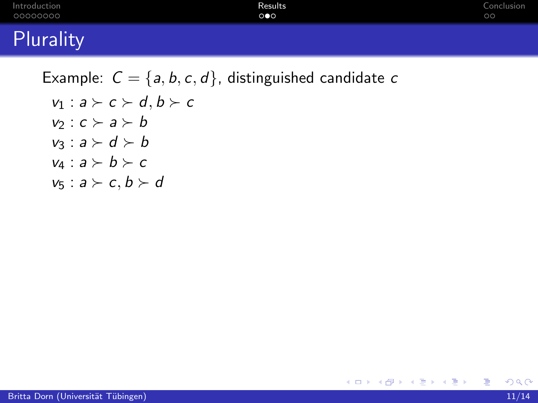| Introduction | <b>Results</b>      | Conclusion |
|--------------|---------------------|------------|
| 00000000     | $\circ\bullet\circ$ | $\circ$    |
| Plurality    |                     |            |

Example:  $C = \{a, b, c, d\}$ , distinguished candidate c  $v_1 : a \succ c \succ d, b \succ c$  $v_2 : c \succ a \succ b$  $v_3 : a \succ d \succ b$  $v_4 : a \succ b \succ c$  $v_5 : a \succ c, b \succ d$ 

目

メ御 トメ ミ ト メ ミ トー

4 0 8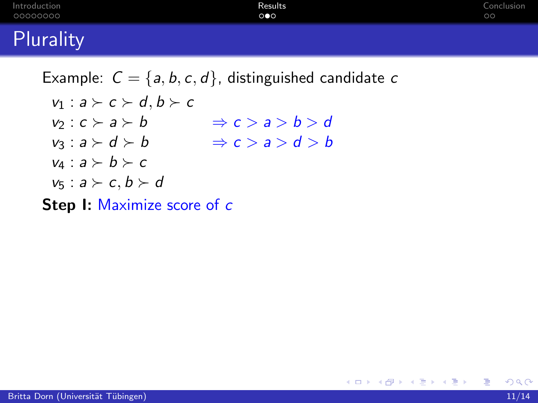| Introduction<br>00000000                                  | Results<br>$\circ \bullet \circ$ | Conclusion<br>$\circ$ |
|-----------------------------------------------------------|----------------------------------|-----------------------|
| Plurality                                                 |                                  |                       |
| Example: $C = \{a, b, c, d\}$ , distinguished candidate c |                                  |                       |

4 0 8

メタトメ ミトメ ミトー

 $E = \{a, b, c, c, d\}$  $v_1 : a \succ c \succ d, b \succ c$  $v_2 : c \succ a \succ b$  $v_3: a \succ d \succ b \Rightarrow c > a > d > b$  $v_4 : a \succ b \succ c$  $v_5 : a \succ c, b \succ d$  $\Rightarrow c > a > b > d$ 

Step I: Maximize score of c

÷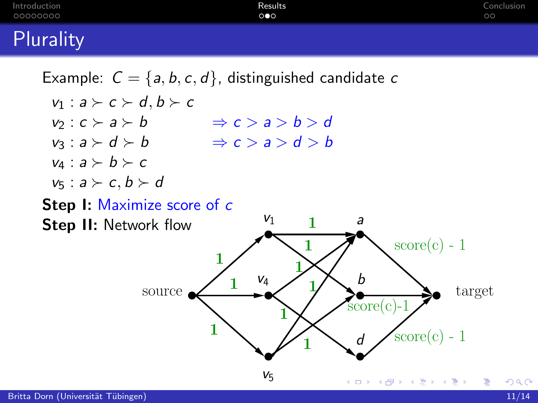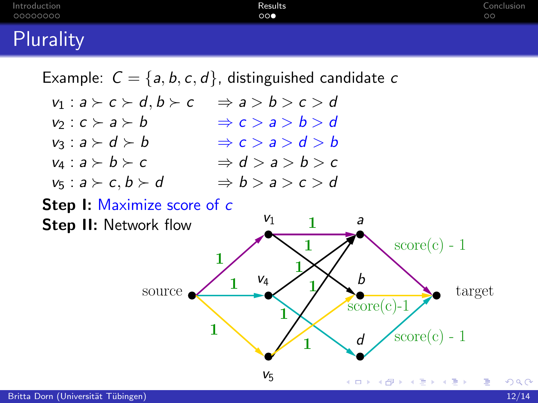

 $V_5$ 

÷

メロメ メ都 メメ きょくきょ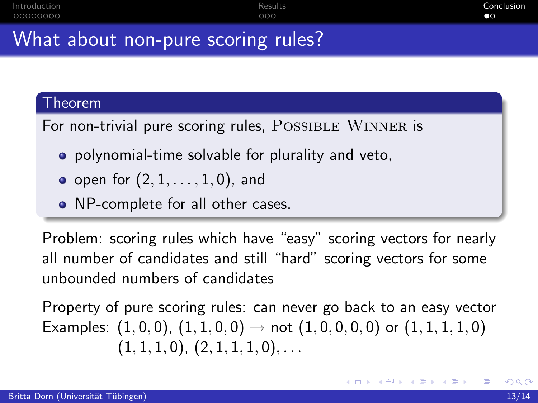## What about non-pure scoring rules?

#### Theorem

For non-trivial pure scoring rules, POSSIBLE WINNER is

- **•** polynomial-time solvable for plurality and veto,
- open for  $(2, 1, \ldots, 1, 0)$ , and
- NP-complete for all other cases.

Problem: scoring rules which have "easy" scoring vectors for nearly all number of candidates and still "hard" scoring vectors for some unbounded numbers of candidates

Property of pure scoring rules: can never go back to an easy vector Examples:  $(1, 0, 0)$ ,  $(1, 1, 0, 0) \rightarrow$  not  $(1, 0, 0, 0, 0)$  or  $(1, 1, 1, 1, 0)$  $(1, 1, 1, 0), (2, 1, 1, 1, 0), \ldots$ 

<span id="page-14-0"></span>メロメ メ母メ メミメ メミメー